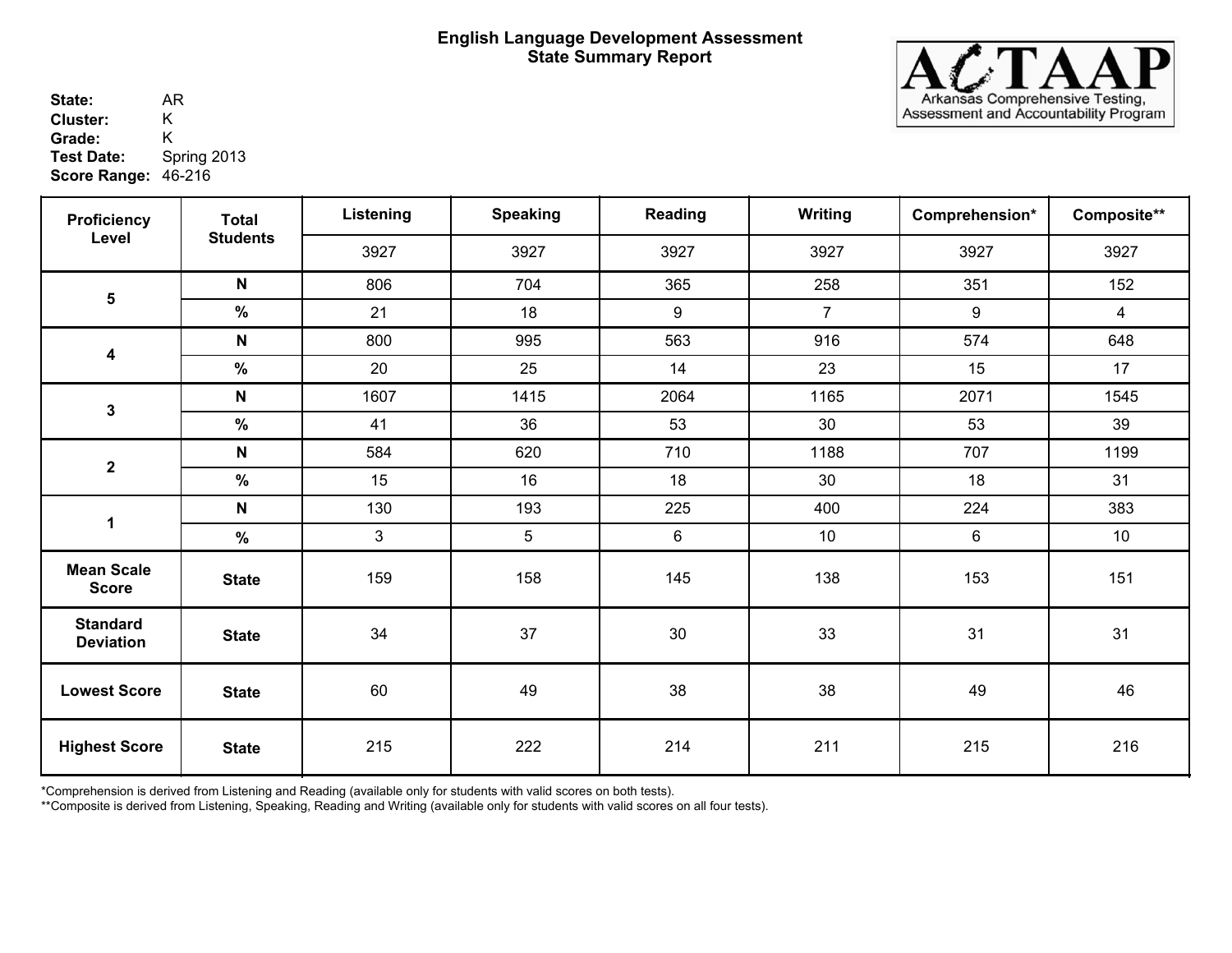

State: AR<br>Cluster: K 46-216 **Score Range:** AR **Cluster:** K<br>Grade: K Grade:<br>Test Date: **Test Date:** Spring 2013

| <b>Proficiency</b>                  | <b>Total</b>    | Listening      | <b>Speaking</b> | Reading | <b>Writing</b> | Comprehension* | Composite**     |
|-------------------------------------|-----------------|----------------|-----------------|---------|----------------|----------------|-----------------|
| Level                               | <b>Students</b> | 3927           | 3927            | 3927    | 3927           | 3927           | 3927            |
|                                     | $\mathsf{N}$    | 806            | 704             | 365     | 258            | 351            | 152             |
| $\overline{\mathbf{5}}$             | $\%$            | 21             | 18              | 9       | $\overline{7}$ | 9              | 4               |
|                                     | N               | 800            | 995             | 563     | 916            | 574            | 648             |
| 4                                   | $\%$            | 20             | 25              | 14      | 23             | 15             | 17              |
|                                     | N               | 1607           | 1415            | 2064    | 1165           | 2071           | 1545            |
| 3                                   | $\%$            | 41             | 36              | 53      | 30             | 53             | 39              |
|                                     | $\mathsf{N}$    | 584            | 620             | 710     | 1188           | 707            | 1199            |
| $\boldsymbol{2}$                    | %               | 15             | 16              | 18      | 30             | 18             | 31              |
| 1                                   | $\mathsf{N}$    | 130            | 193             | 225     | 400            | 224            | 383             |
|                                     | %               | $\mathfrak{S}$ | 5               | 6       | 10             | 6              | 10 <sup>°</sup> |
| <b>Mean Scale</b><br><b>Score</b>   | <b>State</b>    | 159            | 158             | 145     | 138            | 153            | 151             |
| <b>Standard</b><br><b>Deviation</b> | <b>State</b>    | 34             | 37              | 30      | 33             | 31             | 31              |
| <b>Lowest Score</b>                 | <b>State</b>    | 60             | 49              | 38      | 38             | 49             | 46              |
| <b>Highest Score</b>                | <b>State</b>    | 215            | 222             | 214     | 211            | 215            | 216             |

\*Comprehension is derived from Listening and Reading (available only for students with valid scores on both tests).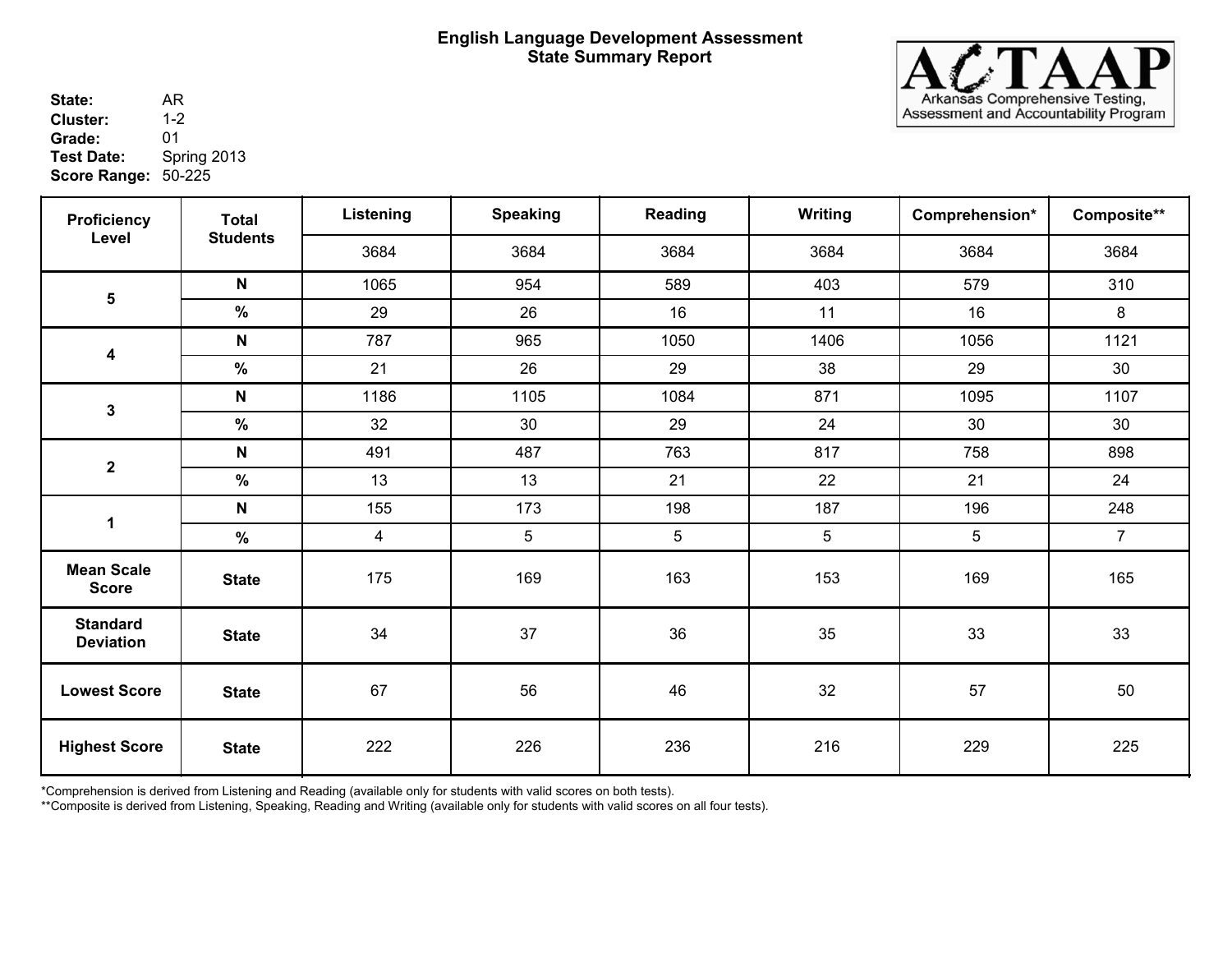

State: AR<br>Cluster: 1-2 50-225 **Score Range:** AR **Cluster:** 1-2<br>**Grade:** 01 **Grade:**<br>Test Date: **Test Date:** Spring 2013

| <b>Proficiency</b>                  | <b>Total</b>    | Listening      | <b>Speaking</b> | Reading | <b>Writing</b>  | Comprehension* | Composite**    |
|-------------------------------------|-----------------|----------------|-----------------|---------|-----------------|----------------|----------------|
| Level                               | <b>Students</b> | 3684           | 3684            | 3684    | 3684            | 3684           | 3684           |
|                                     | $\mathsf{N}$    | 1065           | 954             | 589     | 403             | 579            | 310            |
| $5\phantom{.0}$                     | $\%$            | 29             | 26              | 16      | 11              | 16             | 8              |
| $\boldsymbol{4}$                    | N               | 787            | 965             | 1050    | 1406            | 1056           | 1121           |
|                                     | $\%$            | 21             | 26              | 29      | 38              | 29             | 30             |
| $\mathbf{3}$                        | N               | 1186           | 1105            | 1084    | 871             | 1095           | 1107           |
|                                     | $\%$            | 32             | 30              | 29      | 24              | 30             | 30             |
| $\mathbf{2}$                        | N               | 491            | 487             | 763     | 817             | 758            | 898            |
|                                     | $\%$            | 13             | 13              | 21      | 22              | 21             | 24             |
| $\mathbf 1$                         | N               | 155            | 173             | 198     | 187             | 196            | 248            |
|                                     | $\%$            | $\overline{4}$ | $5\phantom{.0}$ | 5       | $5\phantom{.0}$ | $\sqrt{5}$     | $\overline{7}$ |
| <b>Mean Scale</b><br><b>Score</b>   | <b>State</b>    | 175            | 169             | 163     | 153             | 169            | 165            |
| <b>Standard</b><br><b>Deviation</b> | <b>State</b>    | 34             | 37              | 36      | 35              | 33             | 33             |
| <b>Lowest Score</b>                 | <b>State</b>    | 67             | 56              | 46      | 32              | 57             | 50             |
| <b>Highest Score</b>                | <b>State</b>    | 222            | 226             | 236     | 216             | 229            | 225            |

\*Comprehension is derived from Listening and Reading (available only for students with valid scores on both tests).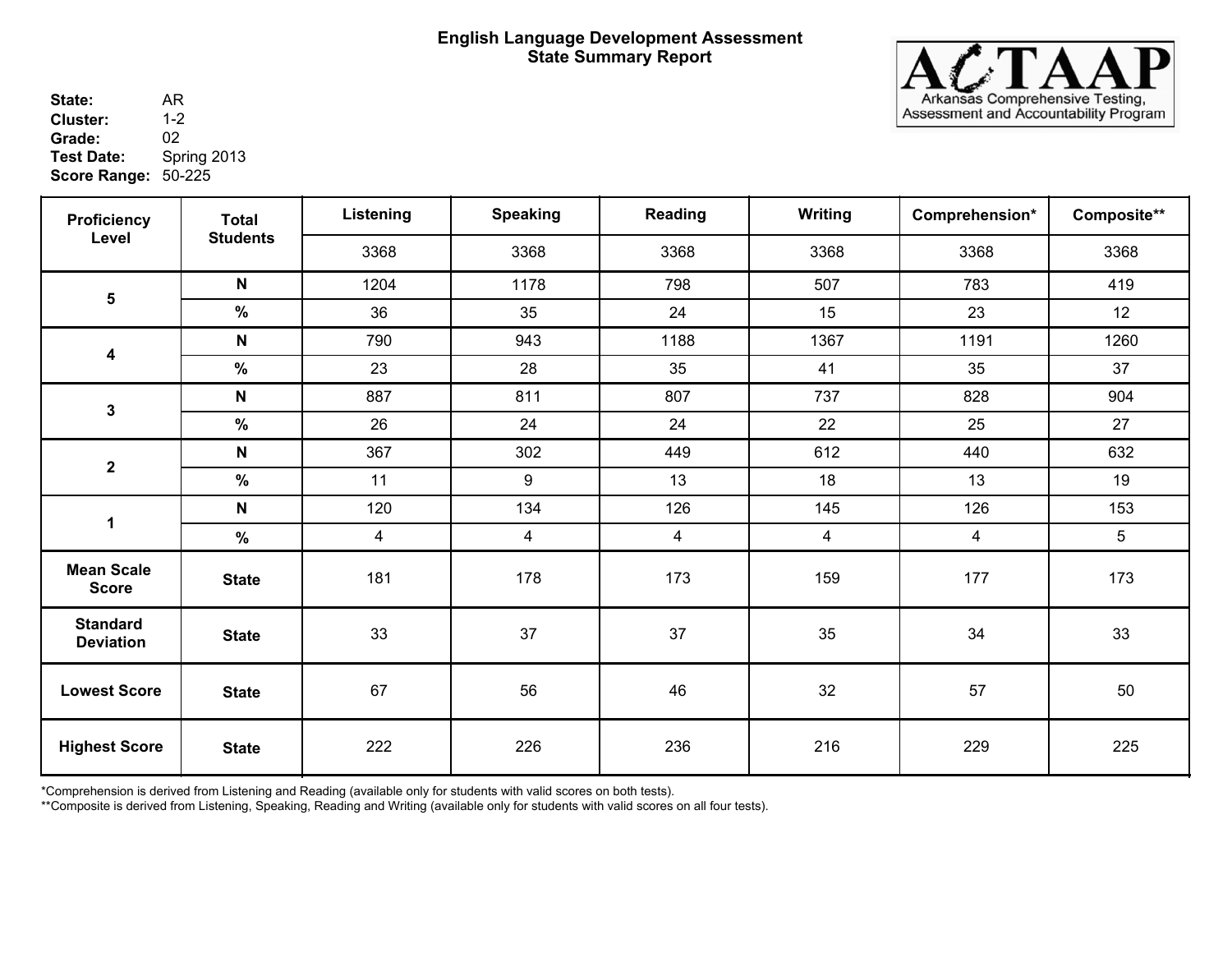

State: AR<br>Cluster: 1-2 50-225 **Score Range:** AR **Cluster:** 1-2<br>**Grade:** 02 **Grade:**<br>Test Date: **Test Date:** Spring 2013

| <b>Proficiency</b>                  | <b>Total</b>    | Listening      | <b>Speaking</b> | Reading        | Writing | Comprehension* | Composite** |
|-------------------------------------|-----------------|----------------|-----------------|----------------|---------|----------------|-------------|
| Level                               | <b>Students</b> | 3368           | 3368            | 3368           | 3368    | 3368           | 3368        |
|                                     | $\mathsf{N}$    | 1204           | 1178            | 798            | 507     | 783            | 419         |
| $\overline{\mathbf{5}}$             | $\frac{9}{6}$   | 36             | 35              | 24             | 15      | 23             | 12          |
|                                     | $\mathsf{N}$    | 790            | 943             | 1188           | 1367    | 1191           | 1260        |
| $\overline{\mathbf{4}}$             | $\%$            | 23             | 28              | 35             | 41      | 35             | 37          |
| $\mathbf{3}$                        | $\mathsf{N}$    | 887            | 811             | 807            | 737     | 828            | 904         |
|                                     | $\%$            | 26             | 24              | 24             | 22      | 25             | 27          |
| $\boldsymbol{2}$                    | $\mathsf{N}$    | 367            | 302             | 449            | 612     | 440            | 632         |
|                                     | $\%$            | 11             | 9               | 13             | 18      | 13             | 19          |
| 1                                   | N               | 120            | 134             | 126            | 145     | 126            | 153         |
|                                     | $\%$            | $\overline{4}$ | $\overline{4}$  | $\overline{4}$ | 4       | $\overline{4}$ | 5           |
| <b>Mean Scale</b><br><b>Score</b>   | <b>State</b>    | 181            | 178             | 173            | 159     | 177            | 173         |
| <b>Standard</b><br><b>Deviation</b> | <b>State</b>    | 33             | 37              | 37             | 35      | 34             | 33          |
| <b>Lowest Score</b>                 | <b>State</b>    | 67             | 56              | 46             | 32      | 57             | 50          |
| <b>Highest Score</b>                | <b>State</b>    | 222            | 226             | 236            | 216     | 229            | 225         |

\*Comprehension is derived from Listening and Reading (available only for students with valid scores on both tests).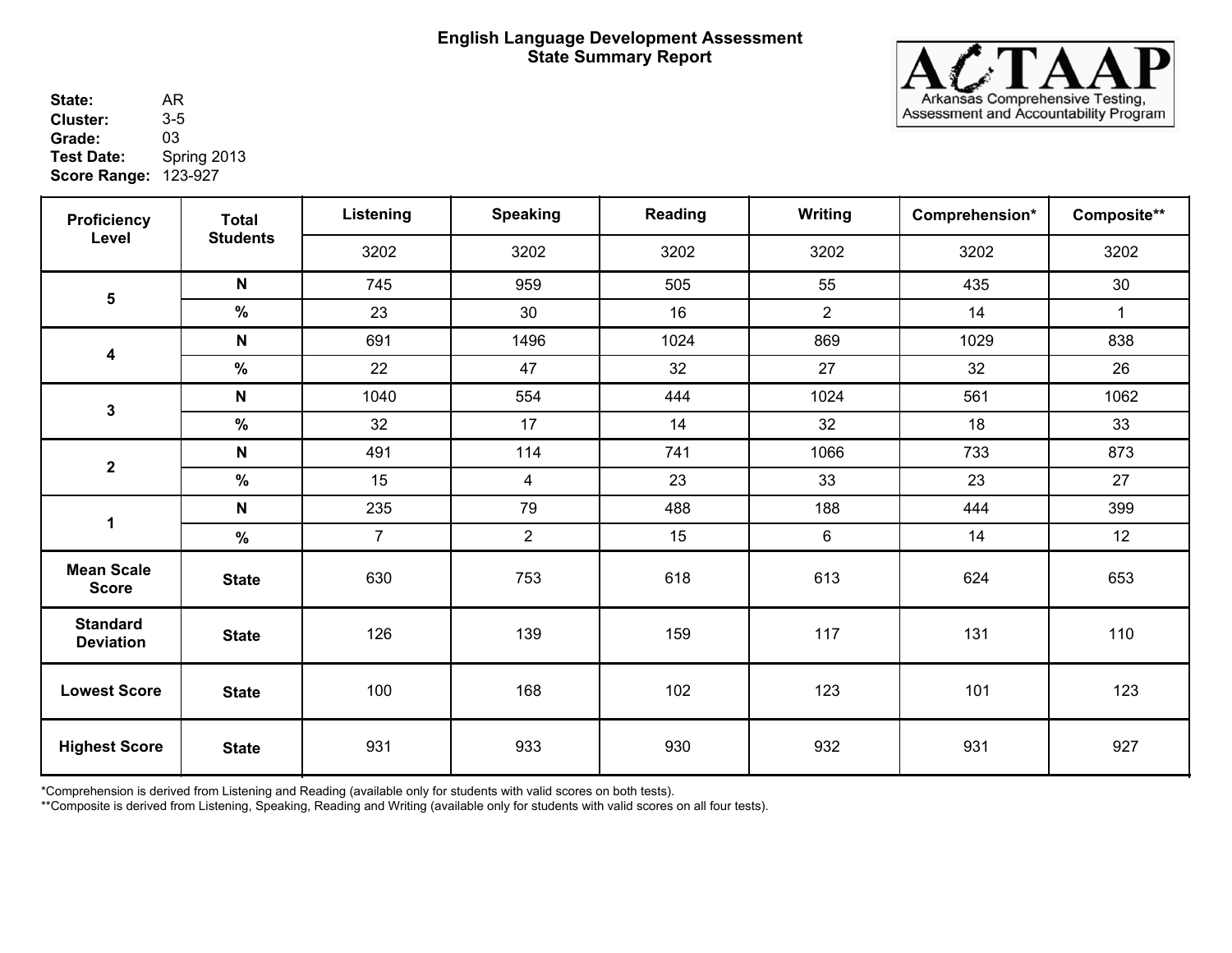

State: AR<br>Cluster: 3-5 **Score Range: 123-927** 2001 2002 2004 AR **Cluster:** 3-5<br>**Grade:** 03 **Grade:**<br>Test Date: **Test Date:** Spring 2013

| <b>Proficiency</b>                  | <b>Total</b>    | Listening      | <b>Speaking</b> | Reading | <b>Writing</b> | Comprehension* | Composite**  |
|-------------------------------------|-----------------|----------------|-----------------|---------|----------------|----------------|--------------|
| Level                               | <b>Students</b> | 3202           | 3202            | 3202    | 3202           | 3202           | 3202         |
|                                     | $\mathsf{N}$    | 745            | 959             | 505     | 55             | 435            | 30           |
| $\overline{\mathbf{5}}$             | $\%$            | 23             | 30              | 16      | $\overline{2}$ | 14             | $\mathbf{1}$ |
|                                     | N               | 691            | 1496            | 1024    | 869            | 1029           | 838          |
| 4                                   | $\%$            | 22             | 47              | 32      | 27             | 32             | 26           |
| $\mathbf 3$                         | $\mathsf{N}$    | 1040           | 554             | 444     | 1024           | 561            | 1062         |
|                                     | %               | 32             | 17              | 14      | 32             | 18             | 33           |
| $\mathbf{2}$                        | $\mathsf{N}$    | 491            | 114             | 741     | 1066           | 733            | 873          |
|                                     | $\frac{9}{6}$   | 15             | $\overline{4}$  | 23      | 33             | 23             | 27           |
| $\mathbf{1}$                        | $\mathsf{N}$    | 235            | 79              | 488     | 188            | 444            | 399          |
|                                     | $\frac{0}{0}$   | $\overline{7}$ | $\overline{2}$  | 15      | $6\phantom{1}$ | 14             | 12           |
| <b>Mean Scale</b><br><b>Score</b>   | <b>State</b>    | 630            | 753             | 618     | 613            | 624            | 653          |
| <b>Standard</b><br><b>Deviation</b> | <b>State</b>    | 126            | 139             | 159     | 117            | 131            | 110          |
| <b>Lowest Score</b>                 | <b>State</b>    | 100            | 168             | 102     | 123            | 101            | 123          |
| <b>Highest Score</b>                | <b>State</b>    | 931            | 933             | 930     | 932            | 931            | 927          |

\*Comprehension is derived from Listening and Reading (available only for students with valid scores on both tests).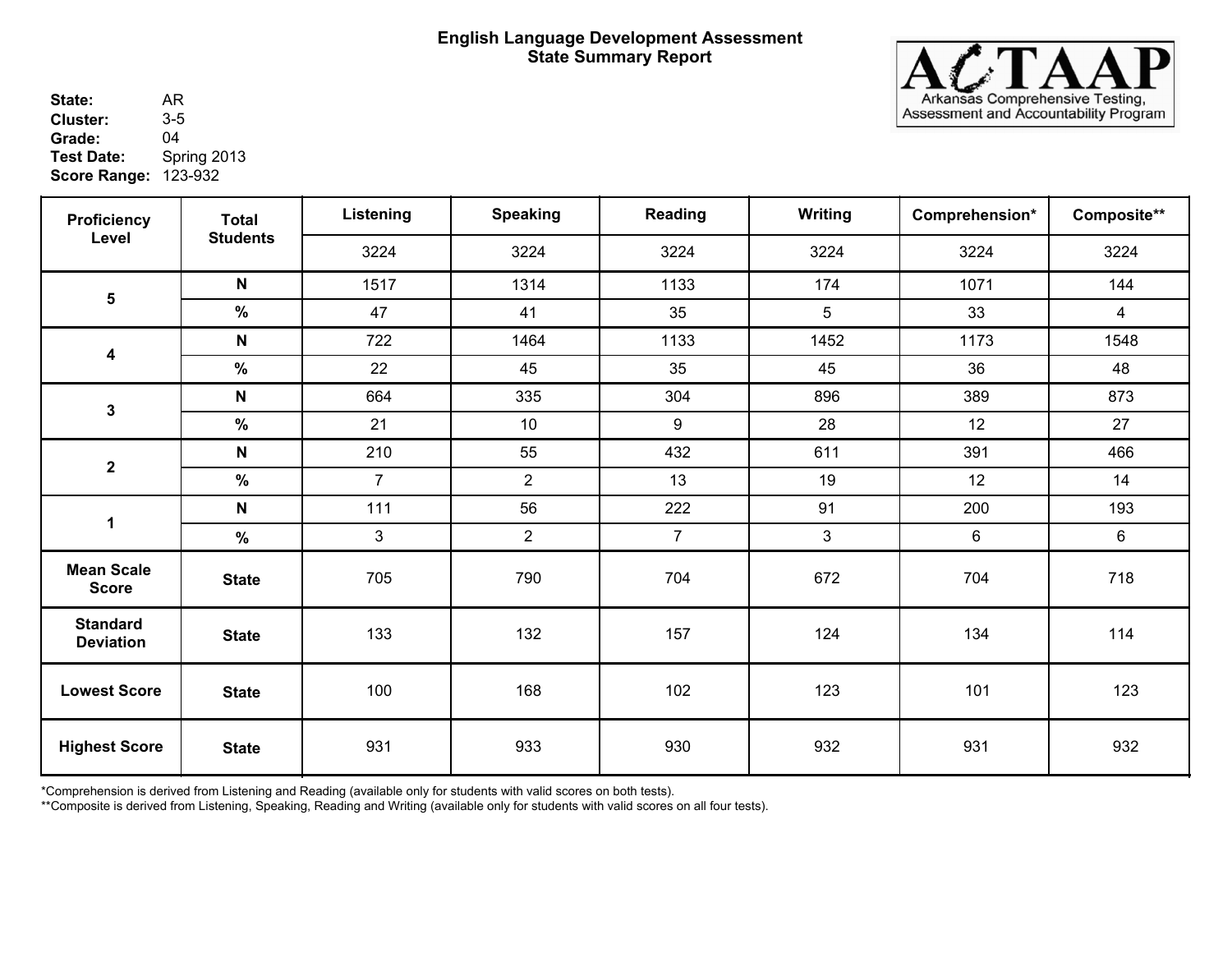

State: AR<br>Cluster: 3-5 **Score Range: 123-932** AR **Cluster:** 3-5<br>**Grade:** 04 **Grade:**<br>Test Date: **Test Date:** Spring 2013

| <b>Proficiency</b><br>Level         | <b>Total</b>    | Listening      | <b>Speaking</b> | Reading        | Writing        | Comprehension*   | Composite**    |
|-------------------------------------|-----------------|----------------|-----------------|----------------|----------------|------------------|----------------|
|                                     | <b>Students</b> | 3224           | 3224            | 3224           | 3224           | 3224             | 3224           |
|                                     | $\mathsf{N}$    | 1517           | 1314            | 1133           | 174            | 1071             | 144            |
| $\overline{\mathbf{5}}$             | $\%$            | 47             | 41              | 35             | 5              | 33               | $\overline{4}$ |
|                                     | $\mathsf{N}$    | 722            | 1464            | 1133           | 1452           | 1173             | 1548           |
| $\boldsymbol{4}$                    | $\%$            | 22             | 45              | 35             | 45             | 36               | 48             |
| $\mathbf{3}$                        | $\mathsf{N}$    | 664            | 335             | 304            | 896            | 389              | 873            |
|                                     | $\%$            | 21             | 10              | 9              | 28             | 12               | 27             |
| $\mathbf 2$                         | $\mathsf{N}$    | 210            | 55              | 432            | 611            | 391              | 466            |
|                                     | %               | $\overline{7}$ | $\overline{2}$  | 13             | 19             | 12               | 14             |
| 1                                   | $\mathsf{N}$    | 111            | 56              | 222            | 91             | 200              | 193            |
|                                     | $\frac{0}{0}$   | $\mathfrak{S}$ | $\overline{2}$  | 7 <sup>1</sup> | $\mathfrak{S}$ | $\boldsymbol{6}$ | 6              |
| <b>Mean Scale</b><br><b>Score</b>   | <b>State</b>    | 705            | 790             | 704            | 672            | 704              | 718            |
| <b>Standard</b><br><b>Deviation</b> | <b>State</b>    | 133            | 132             | 157            | 124            | 134              | 114            |
| <b>Lowest Score</b>                 | <b>State</b>    | 100            | 168             | 102            | 123            | 101              | 123            |
| <b>Highest Score</b>                | <b>State</b>    | 931            | 933             | 930            | 932            | 931              | 932            |

\*Comprehension is derived from Listening and Reading (available only for students with valid scores on both tests).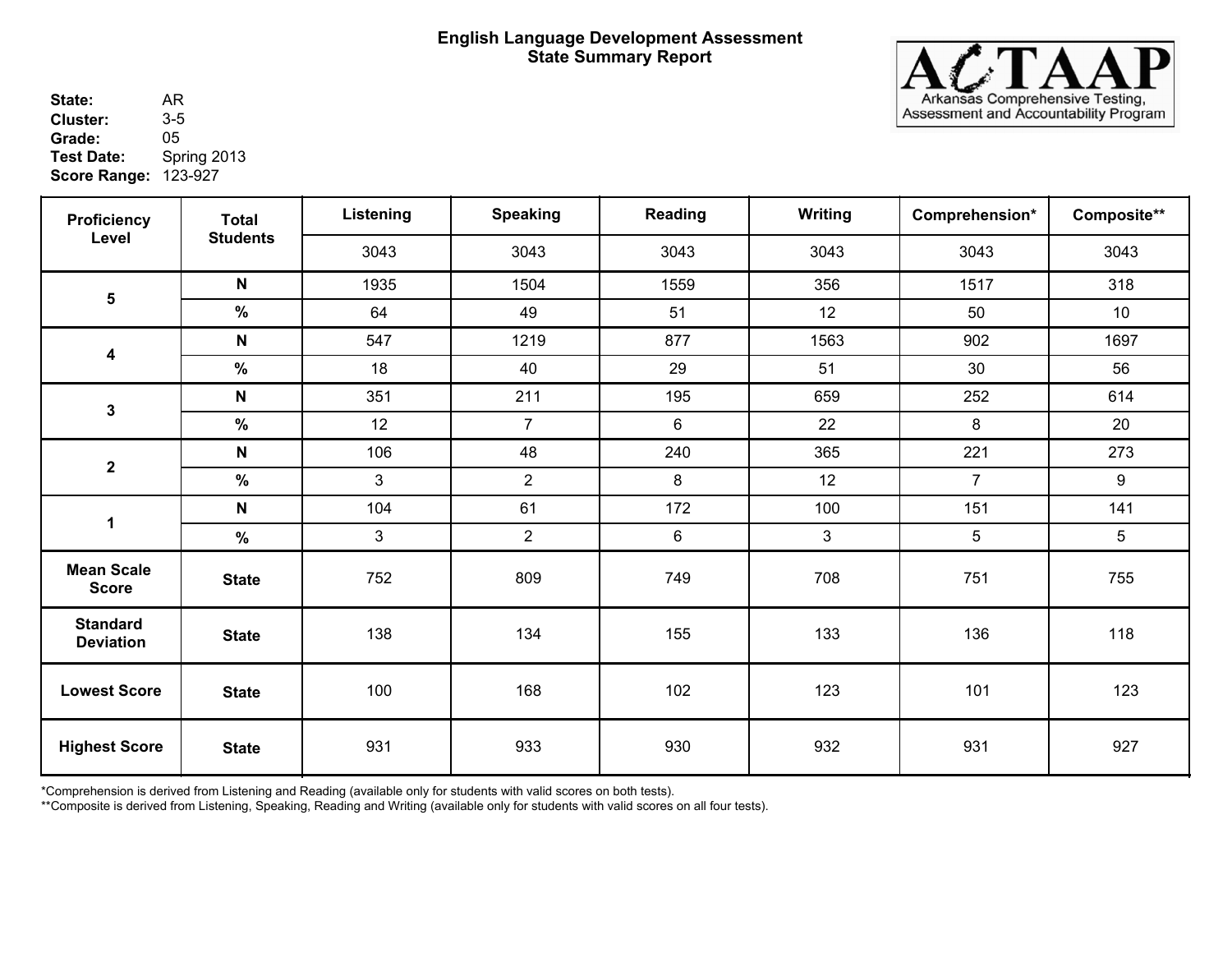

State: AR<br>Cluster: 3-5 **Score Range: 123-927** 2001 2002 2004 AR **Cluster:** 3-5<br>**Grade:** 05 **Grade:**<br>Test Date: **Test Date:** Spring 2013

| <b>Proficiency</b>                  | <b>Total</b>    | Listening      | <b>Speaking</b> | Reading | Writing      | Comprehension* | Composite**     |
|-------------------------------------|-----------------|----------------|-----------------|---------|--------------|----------------|-----------------|
| Level                               | <b>Students</b> | 3043           | 3043            | 3043    | 3043         | 3043           | 3043            |
|                                     | $\mathsf{N}$    | 1935           | 1504            | 1559    | 356          | 1517           | 318             |
| $\overline{\mathbf{5}}$             | $\%$            | 64             | 49              | 51      | 12           | 50             | 10 <sup>°</sup> |
|                                     | N               | 547            | 1219            | 877     | 1563         | 902            | 1697            |
| 4                                   | $\%$            | 18             | 40              | 29      | 51           | 30             | 56              |
| $\mathbf 3$                         | $\mathsf{N}$    | 351            | 211             | 195     | 659          | 252            | 614             |
|                                     | $\%$            | 12             | $\overline{7}$  | 6       | 22           | 8              | 20              |
| $\boldsymbol{2}$                    | $\mathsf{N}$    | 106            | 48              | 240     | 365          | 221            | 273             |
|                                     | $\%$            | 3              | $\overline{2}$  | 8       | 12           | $\overline{7}$ | 9               |
| $\mathbf 1$                         | N               | 104            | 61              | 172     | 100          | 151            | 141             |
|                                     | $\frac{0}{0}$   | $\mathfrak{S}$ | $\overline{2}$  | 6       | $\mathbf{3}$ | 5              | 5               |
| <b>Mean Scale</b><br><b>Score</b>   | <b>State</b>    | 752            | 809             | 749     | 708          | 751            | 755             |
| <b>Standard</b><br><b>Deviation</b> | <b>State</b>    | 138            | 134             | 155     | 133          | 136            | 118             |
| <b>Lowest Score</b>                 | <b>State</b>    | 100            | 168             | 102     | 123          | 101            | 123             |
| <b>Highest Score</b>                | <b>State</b>    | 931            | 933             | 930     | 932          | 931            | 927             |

\*Comprehension is derived from Listening and Reading (available only for students with valid scores on both tests).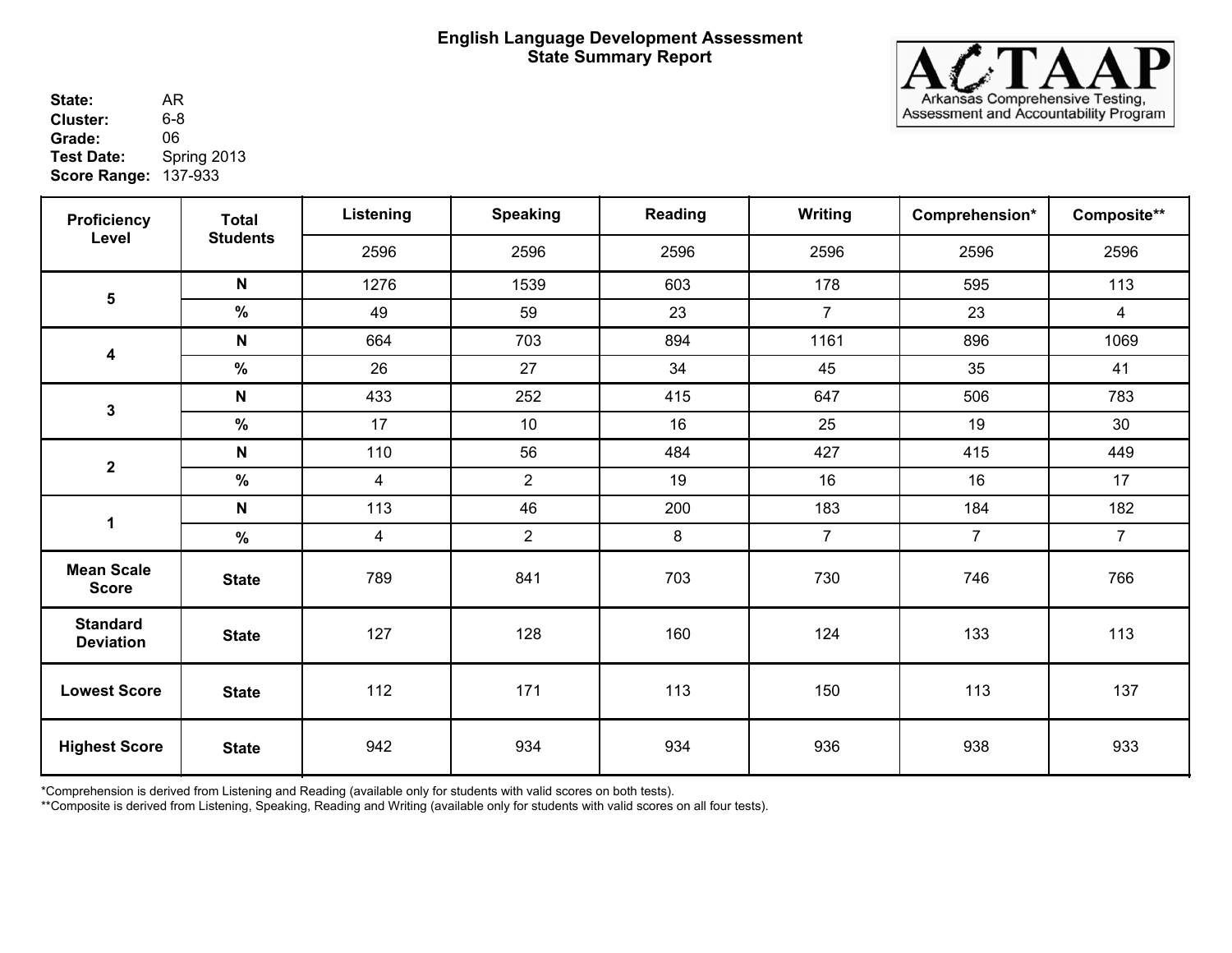

State: AR<br>Cluster: 6-8 137-933 **Score Range:** AR **Cluster:** 6-8<br>**Grade:** 06 **Grade:**<br>Test Date: **Test Date:** Spring 2013

| <b>Proficiency</b>                  | <b>Total</b>    | Listening      | <b>Speaking</b> | Reading | Writing        | Comprehension* | Composite**    |
|-------------------------------------|-----------------|----------------|-----------------|---------|----------------|----------------|----------------|
| Level                               | <b>Students</b> | 2596           | 2596            | 2596    | 2596           | 2596           | 2596           |
|                                     | $\mathsf{N}$    | 1276           | 1539            | 603     | 178            | 595            | 113            |
| $\overline{\mathbf{5}}$             | $\%$            | 49             | 59              | 23      | $\overline{7}$ | 23             | $\overline{4}$ |
|                                     | N               | 664            | 703             | 894     | 1161           | 896            | 1069           |
| 4                                   | $\%$            | 26             | 27              | 34      | 45             | 35             | 41             |
| $\mathbf 3$                         | $\mathsf{N}$    | 433            | 252             | 415     | 647            | 506            | 783            |
|                                     | $\%$            | 17             | 10              | 16      | 25             | 19             | 30             |
| $\boldsymbol{2}$                    | $\mathsf{N}$    | 110            | 56              | 484     | 427            | 415            | 449            |
|                                     | $\%$            | $\overline{4}$ | $\overline{2}$  | 19      | 16             | 16             | 17             |
| $\mathbf 1$                         | N               | 113            | 46              | 200     | 183            | 184            | 182            |
|                                     | $\frac{0}{0}$   | $\overline{4}$ | $\overline{2}$  | 8       | $\overline{7}$ | $\overline{7}$ | $\overline{7}$ |
| <b>Mean Scale</b><br><b>Score</b>   | <b>State</b>    | 789            | 841             | 703     | 730            | 746            | 766            |
| <b>Standard</b><br><b>Deviation</b> | <b>State</b>    | 127            | 128             | 160     | 124            | 133            | 113            |
| <b>Lowest Score</b>                 | <b>State</b>    | 112            | 171             | 113     | 150            | 113            | 137            |
| <b>Highest Score</b>                | <b>State</b>    | 942            | 934             | 934     | 936            | 938            | 933            |

\*Comprehension is derived from Listening and Reading (available only for students with valid scores on both tests).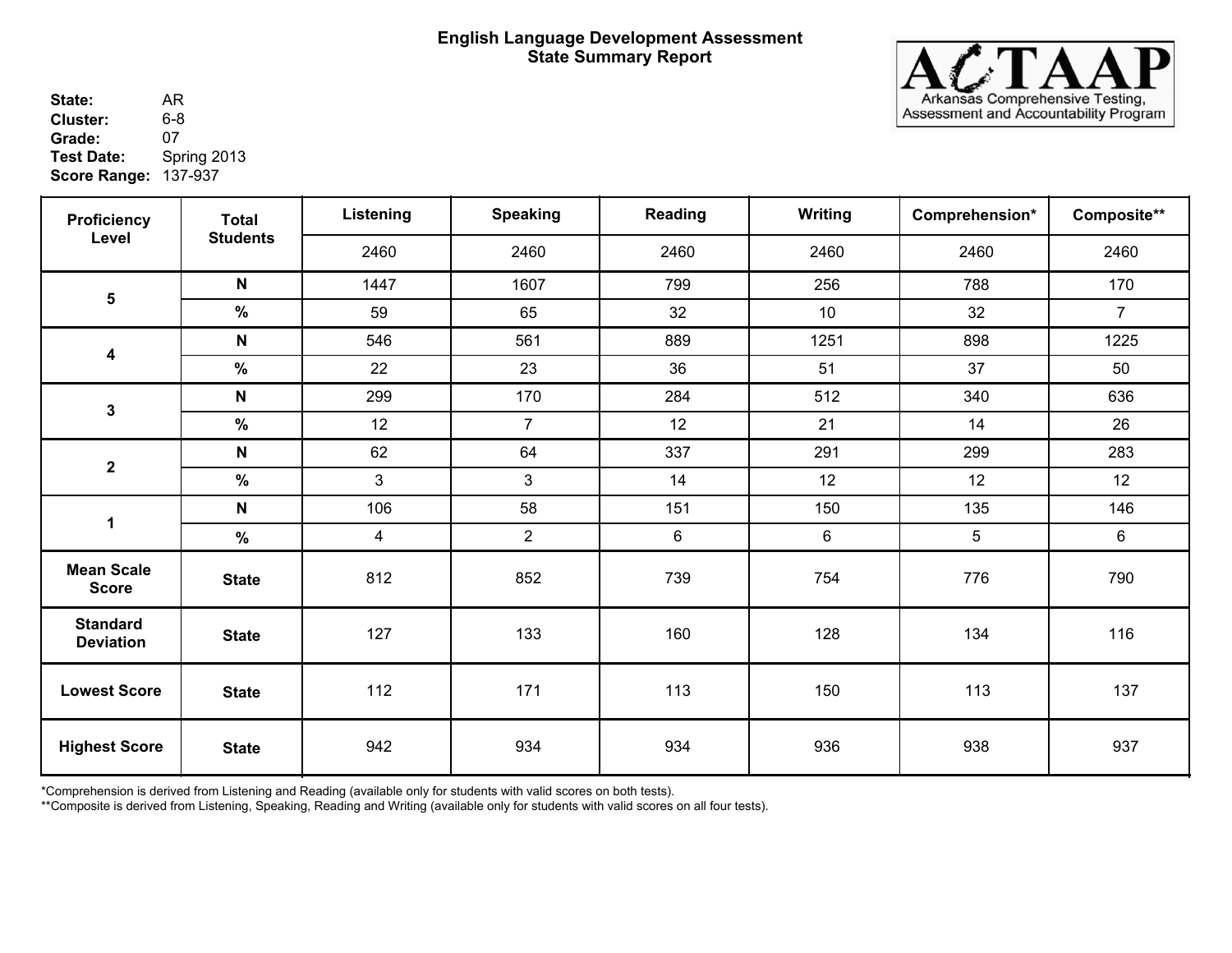

State: AR<br>Cluster: 6-8 137-937 **Score Range:** AR **Cluster:** 6-8<br>**Grade:** 07 Grade:<br>Test Date: **Test Date:** Spring 2013

| <b>Proficiency</b>                  | <b>Total</b>    | Listening      | <b>Speaking</b> | Reading | Writing          | Comprehension* | Composite**    |
|-------------------------------------|-----------------|----------------|-----------------|---------|------------------|----------------|----------------|
| Level                               | <b>Students</b> | 2460           | 2460            | 2460    | 2460             | 2460           | 2460           |
|                                     | $\mathsf{N}$    | 1447           | 1607            | 799     | 256              | 788            | 170            |
| $5\phantom{a}$                      | $\frac{9}{6}$   | 59             | 65              | 32      | 10               | 32             | $\overline{7}$ |
|                                     | $\mathsf{N}$    | 546            | 561             | 889     | 1251             | 898            | 1225           |
| $\overline{\mathbf{4}}$             | $\%$            | 22             | 23              | 36      | 51               | 37             | 50             |
| $\mathbf 3$                         | $\mathsf{N}$    | 299            | 170             | 284     | 512              | 340            | 636            |
|                                     | $\%$            | 12             | $\overline{7}$  | 12      | 21               | 14             | 26             |
| $\boldsymbol{2}$                    | $\mathsf{N}$    | 62             | 64              | 337     | 291              | 299            | 283            |
|                                     | %               | $\mathfrak{S}$ | $\mathbf{3}$    | 14      | 12               | 12             | 12             |
| $\mathbf 1$                         | N               | 106            | 58              | 151     | 150              | 135            | 146            |
|                                     | $\%$            | $\overline{4}$ | $\overline{2}$  | 6       | $\boldsymbol{6}$ | $\overline{5}$ | 6              |
| <b>Mean Scale</b><br><b>Score</b>   | <b>State</b>    | 812            | 852             | 739     | 754              | 776            | 790            |
| <b>Standard</b><br><b>Deviation</b> | <b>State</b>    | 127            | 133             | 160     | 128              | 134            | 116            |
| <b>Lowest Score</b>                 | <b>State</b>    | 112            | 171             | 113     | 150              | 113            | 137            |
| <b>Highest Score</b>                | <b>State</b>    | 942            | 934             | 934     | 936              | 938            | 937            |

\*Comprehension is derived from Listening and Reading (available only for students with valid scores on both tests).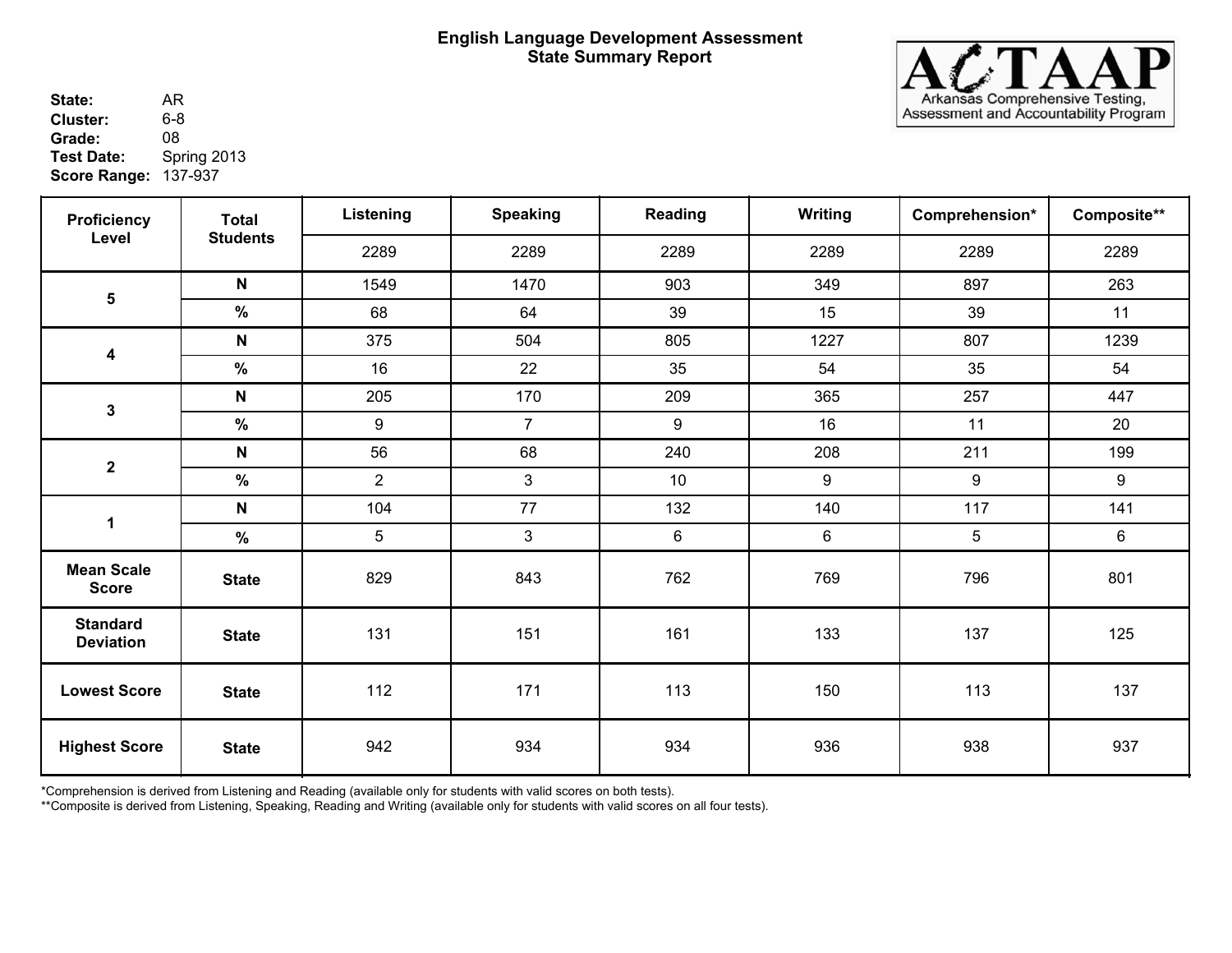

State: AR<br>Cluster: 6-8 137-937 **Score Range:** AR **Cluster:** 6-8<br>**Grade:** 08 **Grade:**<br>Test Date: **Test Date:** Spring 2013

| <b>Proficiency</b>                  | <b>Total</b>    | Listening      | <b>Speaking</b> | Reading | Writing | Comprehension* | Composite** |
|-------------------------------------|-----------------|----------------|-----------------|---------|---------|----------------|-------------|
| Level                               | <b>Students</b> | 2289           | 2289            | 2289    | 2289    | 2289           | 2289        |
|                                     | $\mathsf{N}$    | 1549           | 1470            | 903     | 349     | 897            | 263         |
| $5\phantom{a}$                      | $\frac{9}{6}$   | 68             | 64              | 39      | 15      | 39             | 11          |
|                                     | $\mathsf{N}$    | 375            | 504             | 805     | 1227    | 807            | 1239        |
| $\overline{\mathbf{4}}$             | $\%$            | 16             | 22              | 35      | 54      | 35             | 54          |
| $\mathbf 3$                         | $\mathsf{N}$    | 205            | 170             | 209     | 365     | 257            | 447         |
|                                     | $\%$            | $9\,$          | $\overline{7}$  | 9       | 16      | 11             | 20          |
| $\boldsymbol{2}$                    | $\mathsf{N}$    | 56             | 68              | 240     | 208     | 211            | 199         |
|                                     | %               | $\overline{2}$ | $\mathbf{3}$    | 10      | 9       | 9              | 9           |
| $\mathbf 1$                         | N               | 104            | 77              | 132     | 140     | 117            | 141         |
|                                     | $\%$            | 5              | $\mathbf{3}$    | 6       | 6       | $\overline{5}$ | 6           |
| <b>Mean Scale</b><br><b>Score</b>   | <b>State</b>    | 829            | 843             | 762     | 769     | 796            | 801         |
| <b>Standard</b><br><b>Deviation</b> | <b>State</b>    | 131            | 151             | 161     | 133     | 137            | 125         |
| <b>Lowest Score</b>                 | <b>State</b>    | 112            | 171             | 113     | 150     | 113            | 137         |
| <b>Highest Score</b>                | <b>State</b>    | 942            | 934             | 934     | 936     | 938            | 937         |

\*Comprehension is derived from Listening and Reading (available only for students with valid scores on both tests).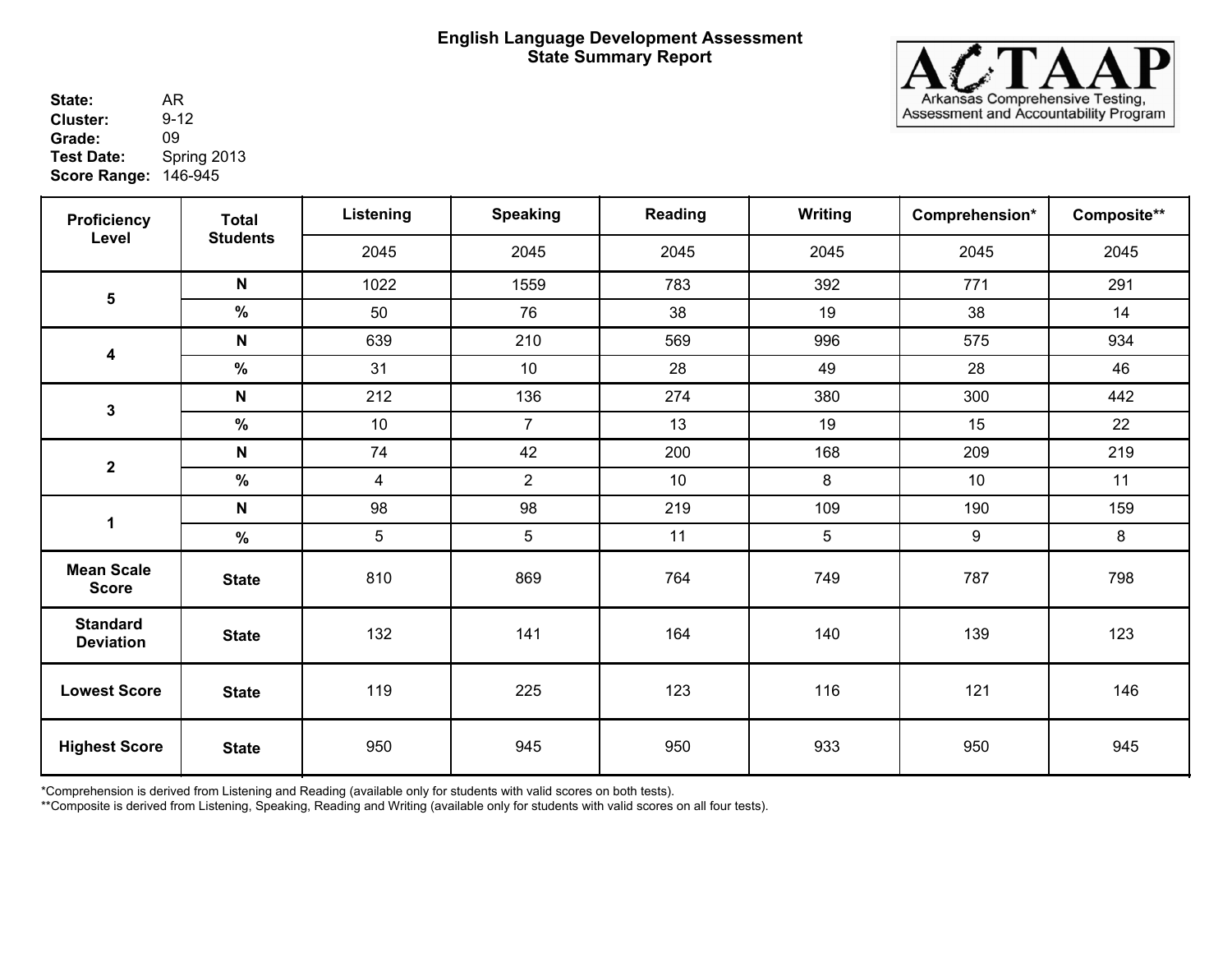

**State:** AR<br>**Cluster:** 9-12 146-945 **Score Range:** AR **Cluster:** 9-1<br> **Grade:** 09 **Grade:**<br>Test Date: **Test Date:** Spring 2013

| <b>Proficiency</b>                  | <b>Total</b>    | Listening       | <b>Speaking</b> | Reading | Writing | Comprehension* | Composite** |
|-------------------------------------|-----------------|-----------------|-----------------|---------|---------|----------------|-------------|
| Level                               | <b>Students</b> | 2045            | 2045            | 2045    | 2045    | 2045           | 2045        |
|                                     | $\mathsf{N}$    | 1022            | 1559            | 783     | 392     | 771            | 291         |
| $\overline{\mathbf{5}}$             | $\%$            | 50              | 76              | 38      | 19      | 38             | 14          |
|                                     | N               | 639             | 210             | 569     | 996     | 575            | 934         |
| 4                                   | $\%$            | 31              | 10              | 28      | 49      | 28             | 46          |
|                                     | $\mathsf{N}$    | 212             | 136             | 274     | 380     | 300            | 442         |
| $\mathbf 3$                         | $\%$            | 10              | $\overline{7}$  | 13      | 19      | 15             | 22          |
| $\boldsymbol{2}$                    | $\mathsf{N}$    | 74              | 42              | 200     | 168     | 209            | 219         |
|                                     | $\%$            | $\overline{4}$  | $\overline{2}$  | 10      | 8       | 10             | 11          |
| $\mathbf 1$                         | $\mathsf{N}$    | 98              | 98              | 219     | 109     | 190            | 159         |
|                                     | $\frac{9}{6}$   | $5\phantom{.0}$ | 5               | 11      | 5       | 9              | 8           |
| <b>Mean Scale</b><br><b>Score</b>   | <b>State</b>    | 810             | 869             | 764     | 749     | 787            | 798         |
| <b>Standard</b><br><b>Deviation</b> | <b>State</b>    | 132             | 141             | 164     | 140     | 139            | 123         |
| <b>Lowest Score</b>                 | <b>State</b>    | 119             | 225             | 123     | 116     | 121            | 146         |
| <b>Highest Score</b>                | <b>State</b>    | 950             | 945             | 950     | 933     | 950            | 945         |

\*Comprehension is derived from Listening and Reading (available only for students with valid scores on both tests).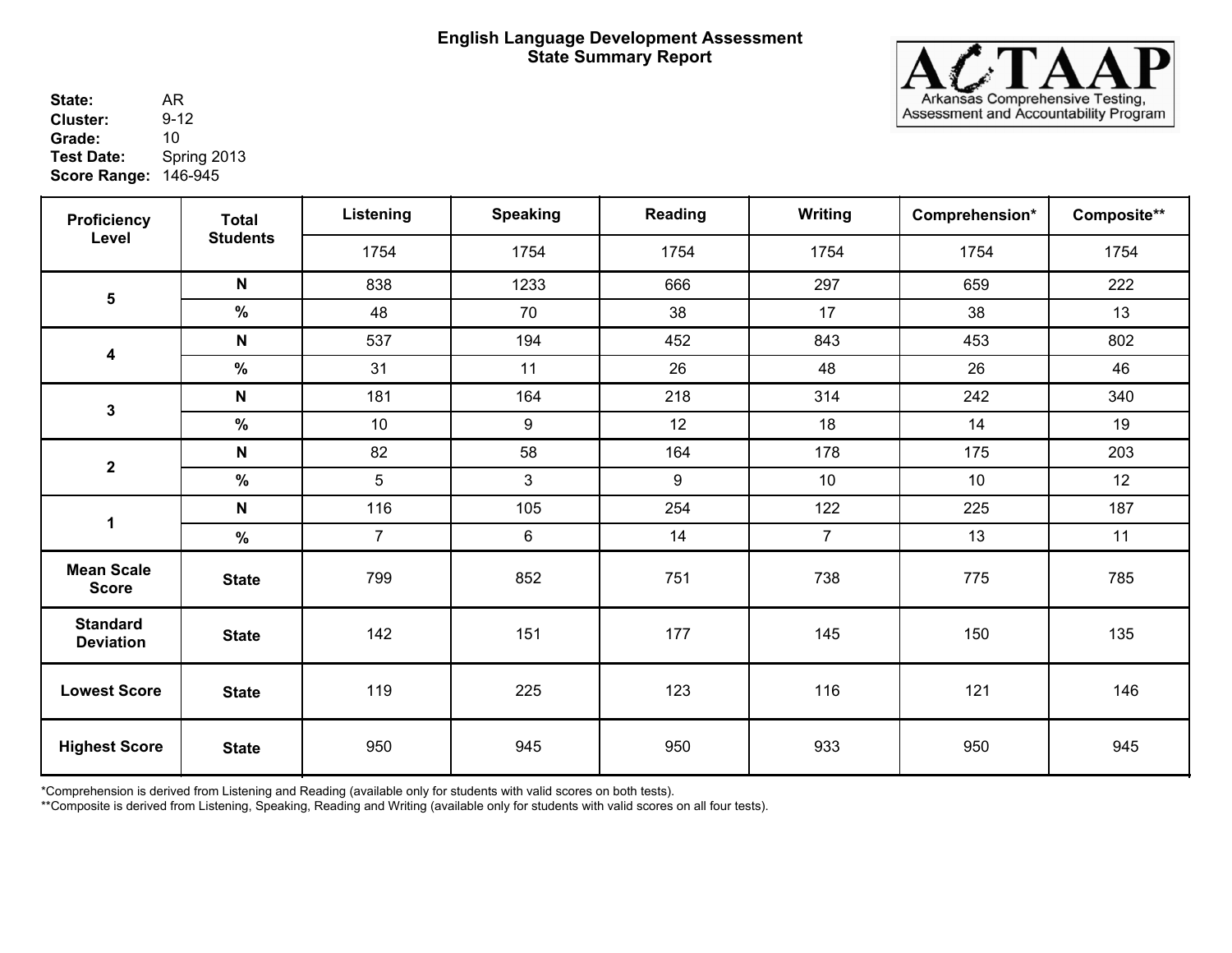

**State:** AR<br>**Cluster:** 9-12 146-945 **Score Range:** AR **Cluster:** 9-1<br> **Grade:** 10 **Grade:**<br>Test Date: **Test Date:** Spring 2013

| <b>Proficiency</b>                  | <b>Total</b>    | Listening      | <b>Speaking</b>  | Reading | Writing        | Comprehension* | Composite** |
|-------------------------------------|-----------------|----------------|------------------|---------|----------------|----------------|-------------|
| Level                               | <b>Students</b> | 1754           | 1754             | 1754    | 1754           | 1754           | 1754        |
|                                     | $\mathsf{N}$    | 838            | 1233             | 666     | 297            | 659            | 222         |
| $\overline{\mathbf{5}}$             | $\%$            | 48             | 70               | 38      | 17             | 38             | 13          |
|                                     | N               | 537            | 194              | 452     | 843            | 453            | 802         |
| $\boldsymbol{4}$                    | $\%$            | 31             | 11               | 26      | 48             | 26             | 46          |
| $\mathbf{3}$                        | N               | 181            | 164              | 218     | 314            | 242            | 340         |
|                                     | $\%$            | 10             | 9                | 12      | 18             | 14             | 19          |
| $\mathbf 2$                         | N               | 82             | 58               | 164     | 178            | 175            | 203         |
|                                     | $\%$            | 5              | 3                | 9       | 10             | 10             | 12          |
| $\mathbf 1$                         | N               | 116            | 105              | 254     | 122            | 225            | 187         |
|                                     | $\%$            | $\overline{7}$ | $\boldsymbol{6}$ | 14      | $\overline{7}$ | 13             | 11          |
| <b>Mean Scale</b><br><b>Score</b>   | <b>State</b>    | 799            | 852              | 751     | 738            | 775            | 785         |
| <b>Standard</b><br><b>Deviation</b> | <b>State</b>    | 142            | 151              | 177     | 145            | 150            | 135         |
| <b>Lowest Score</b>                 | <b>State</b>    | 119            | 225              | 123     | 116            | 121            | 146         |
| <b>Highest Score</b>                | <b>State</b>    | 950            | 945              | 950     | 933            | 950            | 945         |

\*Comprehension is derived from Listening and Reading (available only for students with valid scores on both tests).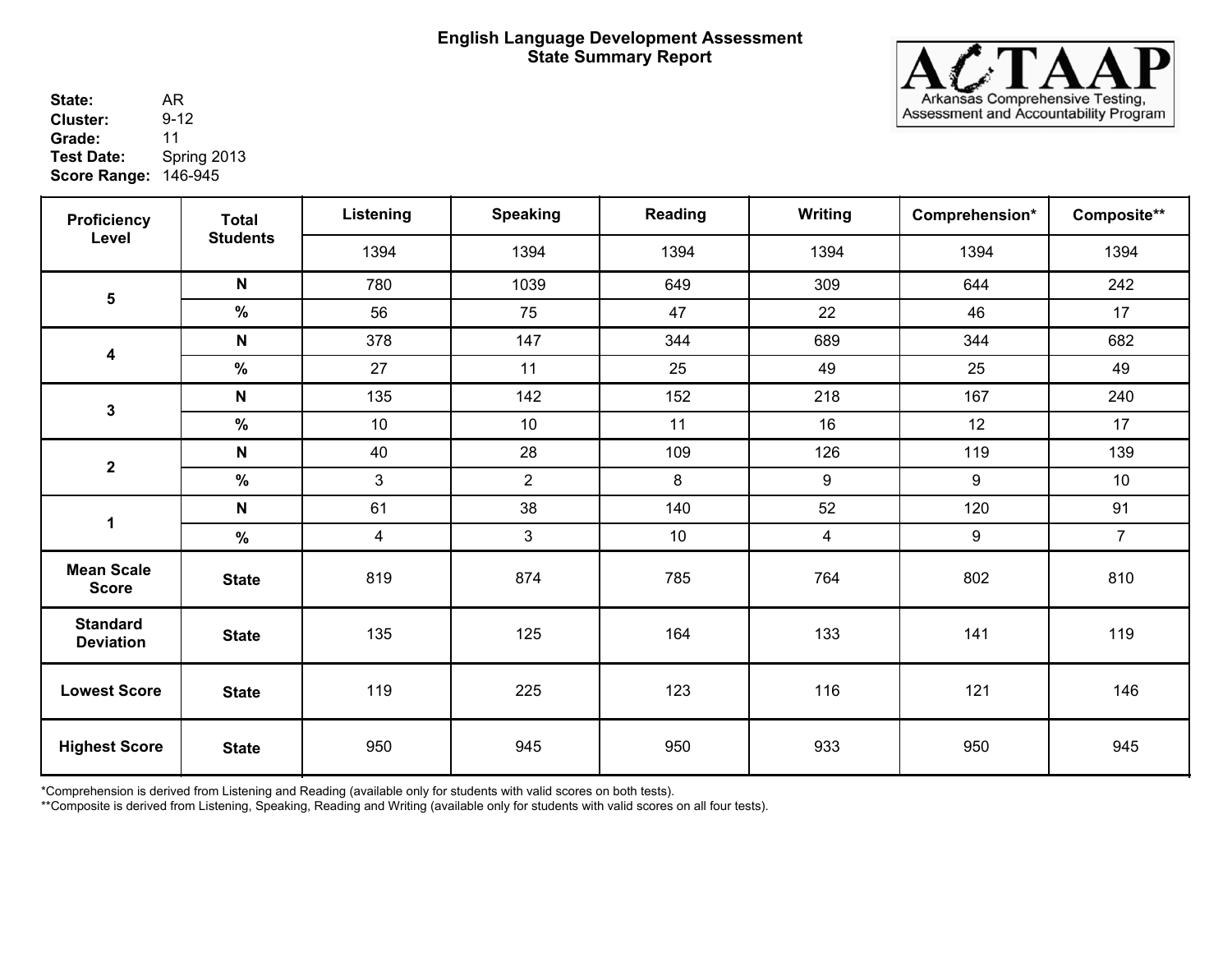

**State:** AR<br>**Cluster:** 9-12 146-945 **Score Range:** AR **Cluster:** Grade: 11<br>Test Date: Spr **Test Date:** Spring 2013

| <b>Proficiency</b><br>Level         | <b>Total</b>    | Listening      | <b>Speaking</b> | Reading | Writing                 | Comprehension* | Composite**     |
|-------------------------------------|-----------------|----------------|-----------------|---------|-------------------------|----------------|-----------------|
|                                     | <b>Students</b> | 1394           | 1394            | 1394    | 1394                    | 1394           | 1394            |
|                                     | $\mathsf{N}$    | 780            | 1039            | 649     | 309                     | 644            | 242             |
| $\overline{\mathbf{5}}$             | $\frac{9}{6}$   | 56             | 75              | 47      | 22                      | 46             | 17              |
|                                     | $\mathsf{N}$    | 378            | 147             | 344     | 689                     | 344            | 682             |
| $\overline{\mathbf{4}}$             | $\%$            | 27             | 11              | 25      | 49                      | 25             | 49              |
| $\mathbf{3}$                        | $\mathsf{N}$    | 135            | 142             | 152     | 218                     | 167            | 240             |
|                                     | $\%$            | 10             | 10              | 11      | 16                      | 12             | 17              |
| $\boldsymbol{2}$                    | $\mathsf{N}$    | 40             | 28              | 109     | 126                     | 119            | 139             |
|                                     | %               | $\mathfrak{S}$ | $\overline{2}$  | 8       | 9                       | 9              | 10 <sup>°</sup> |
| $\mathbf 1$                         | N               | 61             | 38              | 140     | 52                      | 120            | 91              |
|                                     | $\%$            | $\overline{4}$ | $\mathbf{3}$    | $10$    | $\overline{\mathbf{4}}$ | 9              | $\overline{7}$  |
| <b>Mean Scale</b><br><b>Score</b>   | <b>State</b>    | 819            | 874             | 785     | 764                     | 802            | 810             |
| <b>Standard</b><br><b>Deviation</b> | <b>State</b>    | 135            | 125             | 164     | 133                     | 141            | 119             |
| <b>Lowest Score</b>                 | <b>State</b>    | 119            | 225             | 123     | 116                     | 121            | 146             |
| <b>Highest Score</b>                | <b>State</b>    | 950            | 945             | 950     | 933                     | 950            | 945             |

\*Comprehension is derived from Listening and Reading (available only for students with valid scores on both tests).